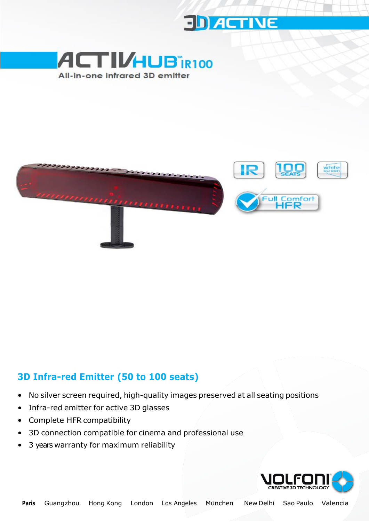





# **3D Infra-red Emitter (50 to 100 seats)**

- No silver screen required, high-quality images preserved at all seating positions
- Infra-red emitter for active 3D glasses
- Complete HFR compatibility
- 3D connection compatible for cinema and professional use
- 3 years warranty for maximum reliability

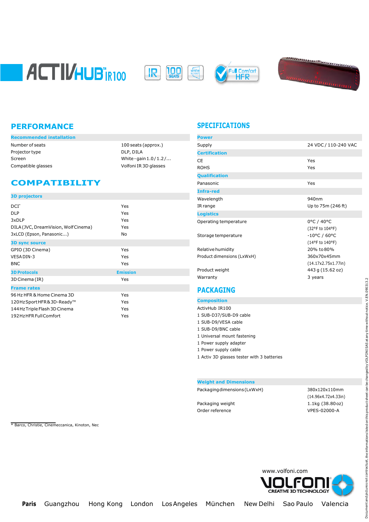







| Recommended installation |                         | Power          |
|--------------------------|-------------------------|----------------|
| Number of seats          | 100 seats (approx.)     | Supply         |
| Projector type           | DLP, DILA               | <b>Certifi</b> |
| Screen                   | White - gain $1.0/1.2/$ | CE             |
| Compatible glasses       | Volfoni IR 3D glasses   | <b>ROHS</b>    |

## **COMPATIBILITY**

\* Barco, Christie, Cinemeccanica, Kinoton, Nec

| <b>3D projectors</b>                 |                 |
|--------------------------------------|-----------------|
| $DCI^*$                              | Yes             |
| <b>DLP</b>                           | Yes             |
| 3xDLP                                | Yes             |
| DILA (JVC, DreamVision, Wolf Cinema) | Yes             |
| 3xLCD (Epson, Panasonic)             | No              |
| <b>3D sync source</b>                |                 |
| GPIO (3D Cinema)                     | Yes             |
| VESA DIN-3                           | Yes             |
| <b>BNC</b>                           | Yes             |
| <b>3D Protocols</b>                  | <b>Emission</b> |
| 3D Cinema (IR)                       | Yes             |
| <b>Frame rates</b>                   |                 |
| 96 Hz HFR & Home Cinema 3D           | Yes             |
| 120HzSportHFR&3D-Ready™              | Yes             |
| 144 Hz Triple Flash 3D Cinema        | Yes             |
| 192 Hz HFR Full Comfort              | Yes             |

### **PERFORMANCE SPECIFICATIONS**

| <b>Power</b>               |                        |
|----------------------------|------------------------|
| Supply                     | 24 VDC / 110-240 VAC   |
| <b>Certification</b>       |                        |
| CF.                        | Yes                    |
| <b>ROHS</b>                | Yes                    |
| <b>Qualification</b>       |                        |
| Panasonic                  | Yes                    |
| <b>Infra-red</b>           |                        |
| Wavelength                 | 940nm                  |
| IR range                   | Up to 75m (246 ft)     |
| <b>Logistics</b>           |                        |
| Operating temperature      | 0°C / 40°C             |
|                            | (32°F to 104°F)        |
| Storage temperature        | $-10^{\circ}$ C / 60°C |
|                            | (14°F to 140°F)        |
| Relative humidity          | 20% to 80%             |
| Product dimensions (LxWxH) | 360x70x45mm            |
|                            | (14.17x2.75x1.77in)    |
| Product weight             | 443 g (15.62 oz)       |
| Warranty                   | 3 years                |
|                            |                        |

### **PACKAGING**

| <b>Composition</b>                         |
|--------------------------------------------|
| ActivHub IR100                             |
| 1 SUB-D37/SUB-D9 cable                     |
| 1 SUB-D9/VESA cable                        |
| 1 SUB-D9/BNC cable                         |
| 1 Universal mount fastening                |
| 1 Power supply adapter                     |
| 1 Power supply cable                       |
| 1 Activ 3D glasses tester with 3 batteries |
|                                            |

#### **Weight and Dimensions**

Packagingdimensions(LxWxH) 380x120x110mm

Order reference VPES-02000-A

(14.96x4.72x4.33in) Packaging weight 1.1kg (38.80oz)